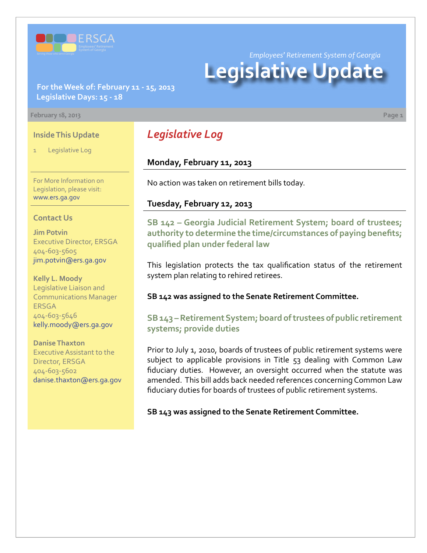

*Employees' Retirement System of Georgia*

# **Legislative Update**

### **For the Week of: February 11 - 15, 2013 Legislative Days: 15 - 18**

#### **February 18, 2013 Page 1**

### **Inside This Update**

Legislative Log

For More Information on Legislation, please visit: [www.ers.ga.gov](http://www.ers.ga.gov/default.aspx)

#### **Contact Us**

**Jim Potvin** Executive Director, ERSGA 404-603-5605 jim.potvin@ers.ga.gov

**Kelly L. Moody** Legislative Liaison and Communications Manager ERSGA 404-603-5646 kelly.moody@ers.ga.gov

**Danise Thaxton** Executive Assistant to the Director, ERSGA

404-603-5602 danise.thaxton@ers.ga.gov

# *Legislative Log*

### **Monday, February 11, 2013**

No action was taken on retirement bills today.

### **Tuesday, February 12, 2013**

**[SB 142 – Georgia Judicial Retirement System; board of trustees;](http://www.legis.ga.gov/legislation/en-US/Display/20132014/SB/142)  authority to determine the time/circumstances of paying benefits; qualified plan under federal law**

This legislation protects the tax qualification status of the retirement system plan relating to rehired retirees.

**SB 142 was assigned to the Senate Retirement Committee.**

**[SB 143 – Retirement System; board of trustees of public retirement](http://www.legis.ga.gov/legislation/en-US/Display/20132014/SB/143)  systems; provide duties**

Prior to July 1, 2010, boards of trustees of public retirement systems were subject to applicable provisions in Title 53 dealing with Common Law fiduciary duties. However, an oversight occurred when the statute was amended. This bill adds back needed references concerning Common Law fiduciary duties for boards of trustees of public retirement systems.

**SB 143 was assigned to the Senate Retirement Committee.**